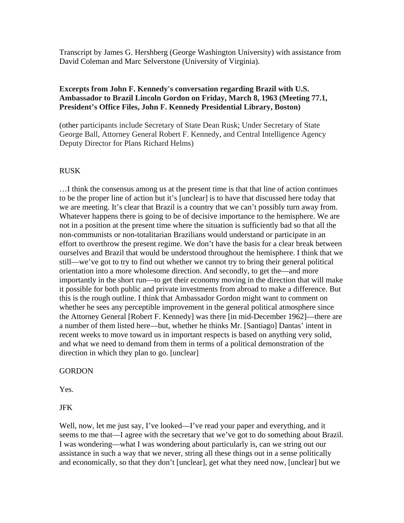Transcript by James G. Hershberg (George Washington University) with assistance from David Coleman and Marc Selverstone (University of Virginia).

#### **Excerpts from John F. Kennedy's conversation regarding Brazil with U.S. Ambassador to Brazil Lincoln Gordon on Friday, March 8, 1963 (Meeting 77.1, President's Office Files, John F. Kennedy Presidential Library, Boston)**

(other participants include Secretary of State Dean Rusk; Under Secretary of State George Ball, Attorney General Robert F. Kennedy, and Central Intelligence Agency Deputy Director for Plans Richard Helms)

#### RUSK

…I think the consensus among us at the present time is that that line of action continues to be the proper line of action but it's [unclear] is to have that discussed here today that we are meeting. It's clear that Brazil is a country that we can't possibly turn away from. Whatever happens there is going to be of decisive importance to the hemisphere. We are not in a position at the present time where the situation is sufficiently bad so that all the non-communists or non-totalitarian Brazilians would understand or participate in an effort to overthrow the present regime. We don't have the basis for a clear break between ourselves and Brazil that would be understood throughout the hemisphere. I think that we still—we've got to try to find out whether we cannot try to bring their general political orientation into a more wholesome direction. And secondly, to get the—and more importantly in the short run—to get their economy moving in the direction that will make it possible for both public and private investments from abroad to make a difference. But this is the rough outline. I think that Ambassador Gordon might want to comment on whether he sees any perceptible improvement in the general political atmosphere since the Attorney General [Robert F. Kennedy] was there [in mid-December 1962]—there are a number of them listed here—but, whether he thinks Mr. [Santiago] Dantas' intent in recent weeks to move toward us in important respects is based on anything very solid, and what we need to demand from them in terms of a political demonstration of the direction in which they plan to go. [unclear]

#### **GORDON**

Yes.

JFK

Well, now, let me just say, I've looked—I've read your paper and everything, and it seems to me that—I agree with the secretary that we've got to do something about Brazil. I was wondering—what I was wondering about particularly is, can we string out our assistance in such a way that we never, string all these things out in a sense politically and economically, so that they don't [unclear], get what they need now, [unclear] but we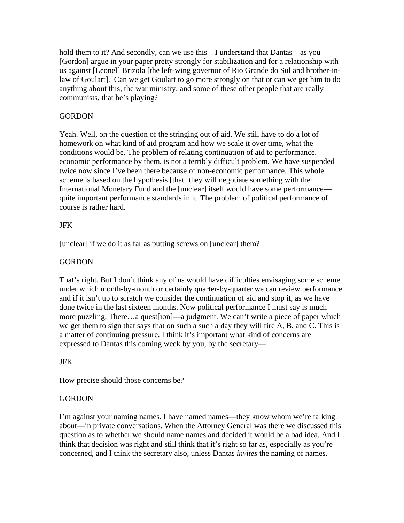hold them to it? And secondly, can we use this—I understand that Dantas—as you [Gordon] argue in your paper pretty strongly for stabilization and for a relationship with us against [Leonel] Brizola [the left-wing governor of Rio Grande do Sul and brother-inlaw of Goulart]. Can we get Goulart to go more strongly on that or can we get him to do anything about this, the war ministry, and some of these other people that are really communists, that he's playing?

#### **GORDON**

Yeah. Well, on the question of the stringing out of aid. We still have to do a lot of homework on what kind of aid program and how we scale it over time, what the conditions would be. The problem of relating continuation of aid to performance, economic performance by them, is not a terribly difficult problem. We have suspended twice now since I've been there because of non-economic performance. This whole scheme is based on the hypothesis [that] they will negotiate something with the International Monetary Fund and the [unclear] itself would have some performance quite important performance standards in it. The problem of political performance of course is rather hard.

#### JFK

[unclear] if we do it as far as putting screws on [unclear] them?

#### **GORDON**

That's right. But I don't think any of us would have difficulties envisaging some scheme under which month-by-month or certainly quarter-by-quarter we can review performance and if it isn't up to scratch we consider the continuation of aid and stop it, as we have done twice in the last sixteen months. Now political performance I must say is much more puzzling. There…a quest[ion]—a judgment. We can't write a piece of paper which we get them to sign that says that on such a such a day they will fire A, B, and C. This is a matter of continuing pressure. I think it's important what kind of concerns are expressed to Dantas this coming week by you, by the secretary—

#### JFK

How precise should those concerns be?

#### **GORDON**

I'm against your naming names. I have named names—they know whom we're talking about—in private conversations. When the Attorney General was there we discussed this question as to whether we should name names and decided it would be a bad idea. And I think that decision was right and still think that it's right so far as, especially as you're concerned, and I think the secretary also, unless Dantas *invites* the naming of names.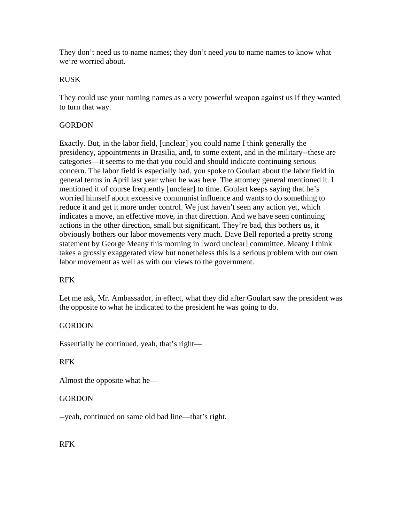They don't need us to name names; they don't need *you* to name names to know what we're worried about.

#### RUSK

They could use your naming names as a very powerful weapon against us if they wanted to turn that way.

#### **GORDON**

Exactly. But, in the labor field, [unclear] you could name I think generally the presidency, appointments in Brasilia, and, to some extent, and in the military--these are categories—it seems to me that you could and should indicate continuing serious concern. The labor field is especially bad, you spoke to Goulart about the labor field in general terms in April last year when he was here. The attorney general mentioned it. I mentioned it of course frequently [unclear] to time. Goulart keeps saying that he's worried himself about excessive communist influence and wants to do something to reduce it and get it more under control. We just haven't seen any action yet, which indicates a move, an effective move, in that direction. And we have seen continuing actions in the other direction, small but significant. They're bad, this bothers us, it obviously bothers our labor movements very much. Dave Bell reported a pretty strong statement by George Meany this morning in [word unclear] committee. Meany I think takes a grossly exaggerated view but nonetheless this is a serious problem with our own labor movement as well as with our views to the government.

#### RFK

Let me ask, Mr. Ambassador, in effect, what they did after Goulart saw the president was the opposite to what he indicated to the president he was going to do.

#### **GORDON**

Essentially he continued, yeah, that's right—

#### RFK

Almost the opposite what he—

## **GORDON**

--yeah, continued on same old bad line—that's right.

#### RFK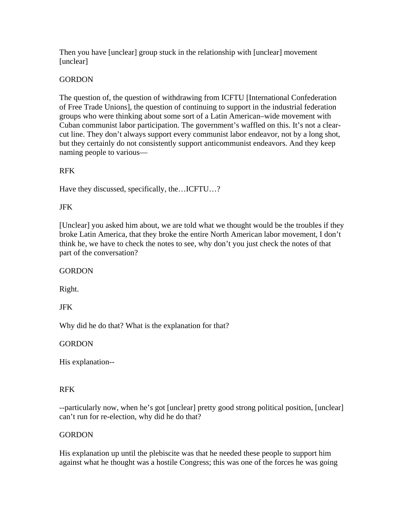Then you have [unclear] group stuck in the relationship with [unclear] movement [unclear]

## **GORDON**

The question of, the question of withdrawing from ICFTU [International Confederation of Free Trade Unions], the question of continuing to support in the industrial federation groups who were thinking about some sort of a Latin American–wide movement with Cuban communist labor participation. The government's waffled on this. It's not a clearcut line. They don't always support every communist labor endeavor, not by a long shot, but they certainly do not consistently support anticommunist endeavors. And they keep naming people to various—

## RFK

Have they discussed, specifically, the…ICFTU…?

## JFK

[Unclear] you asked him about, we are told what we thought would be the troubles if they broke Latin America, that they broke the entire North American labor movement, I don't think he, we have to check the notes to see, why don't you just check the notes of that part of the conversation?

## **GORDON**

Right.

## JFK

Why did he do that? What is the explanation for that?

## **GORDON**

His explanation--

## RFK

--particularly now, when he's got [unclear] pretty good strong political position, [unclear] can't run for re-election, why did he do that?

## **GORDON**

His explanation up until the plebiscite was that he needed these people to support him against what he thought was a hostile Congress; this was one of the forces he was going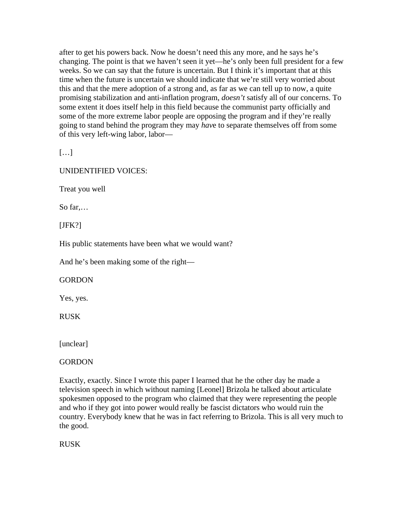after to get his powers back. Now he doesn't need this any more, and he says he's changing. The point is that we haven't seen it yet—he's only been full president for a few weeks. So we can say that the future is uncertain. But I think it's important that at this time when the future is uncertain we should indicate that we're still very worried about this and that the mere adoption of a strong and, as far as we can tell up to now, a quite promising stabilization and anti-inflation program, *doesn't* satisfy all of our concerns. To some extent it does itself help in this field because the communist party officially and some of the more extreme labor people are opposing the program and if they're really going to stand behind the program they may *hav*e to separate themselves off from some of this very left-wing labor, labor—

[…]

UNIDENTIFIED VOICES:

Treat you well

So far,…

[JFK?]

His public statements have been what we would want?

And he's been making some of the right—

## **GORDON**

Yes, yes.

RUSK

[unclear]

**GORDON** 

Exactly, exactly. Since I wrote this paper I learned that he the other day he made a television speech in which without naming [Leonel] Brizola he talked about articulate spokesmen opposed to the program who claimed that they were representing the people and who if they got into power would really be fascist dictators who would ruin the country. Everybody knew that he was in fact referring to Brizola. This is all very much to the good.

RUSK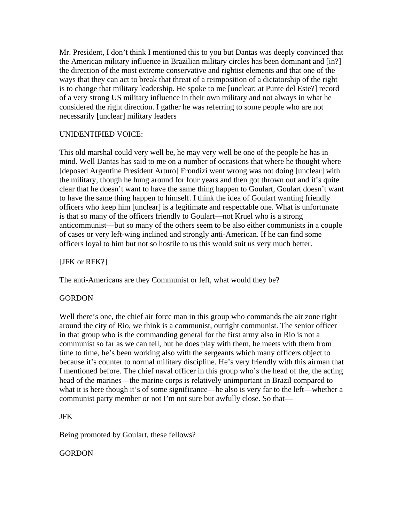Mr. President, I don't think I mentioned this to you but Dantas was deeply convinced that the American military influence in Brazilian military circles has been dominant and [in?] the direction of the most extreme conservative and rightist elements and that one of the ways that they can act to break that threat of a reimposition of a dictatorship of the right is to change that military leadership. He spoke to me [unclear; at Punte del Este?] record of a very strong US military influence in their own military and not always in what he considered the right direction. I gather he was referring to some people who are not necessarily [unclear] military leaders

#### UNIDENTIFIED VOICE:

This old marshal could very well be, he may very well be one of the people he has in mind. Well Dantas has said to me on a number of occasions that where he thought where [deposed Argentine President Arturo] Frondizi went wrong was not doing [unclear] with the military, though he hung around for four years and then got thrown out and it's quite clear that he doesn't want to have the same thing happen to Goulart, Goulart doesn't want to have the same thing happen to himself. I think the idea of Goulart wanting friendly officers who keep him [unclear] is a legitimate and respectable one. What is unfortunate is that so many of the officers friendly to Goulart—not Kruel who is a strong anticommunist—but so many of the others seem to be also either communists in a couple of cases or very left-wing inclined and strongly anti-American. If he can find some officers loyal to him but not so hostile to us this would suit us very much better.

#### [JFK or RFK?]

The anti-Americans are they Communist or left, what would they be?

#### **GORDON**

Well there's one, the chief air force man in this group who commands the air zone right around the city of Rio, we think is a communist, outright communist. The senior officer in that group who is the commanding general for the first army also in Rio is not a communist so far as we can tell, but he does play with them, he meets with them from time to time, he's been working also with the sergeants which many officers object to because it's counter to normal military discipline. He's very friendly with this airman that I mentioned before. The chief naval officer in this group who's the head of the, the acting head of the marines—the marine corps is relatively unimportant in Brazil compared to what it is here though it's of some significance—he also is very far to the left—whether a communist party member or not I'm not sure but awfully close. So that—

#### JFK

Being promoted by Goulart, these fellows?

# **GORDON**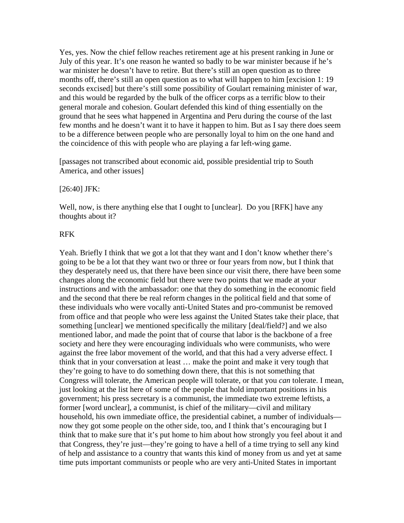Yes, yes. Now the chief fellow reaches retirement age at his present ranking in June or July of this year. It's one reason he wanted so badly to be war minister because if he's war minister he doesn't have to retire. But there's still an open question as to three months off, there's still an open question as to what will happen to him [excision 1: 19 seconds excised] but there's still some possibility of Goulart remaining minister of war, and this would be regarded by the bulk of the officer corps as a terrific blow to their general morale and cohesion. Goulart defended this kind of thing essentially on the ground that he sees what happened in Argentina and Peru during the course of the last few months and he doesn't want it to have it happen to him. But as I say there does seem to be a difference between people who are personally loyal to him on the one hand and the coincidence of this with people who are playing a far left-wing game.

[passages not transcribed about economic aid, possible presidential trip to South America, and other issues]

#### [26:40] JFK:

Well, now, is there anything else that I ought to [unclear]. Do you [RFK] have any thoughts about it?

#### RFK

Yeah. Briefly I think that we got a lot that they want and I don't know whether there's going to be be a lot that they want two or three or four years from now, but I think that they desperately need us, that there have been since our visit there, there have been some changes along the economic field but there were two points that we made at your instructions and with the ambassador: one that they do something in the economic field and the second that there be real reform changes in the political field and that some of these individuals who were vocally anti-United States and pro-communist be removed from office and that people who were less against the United States take their place, that something [unclear] we mentioned specifically the military [deal/field?] and we also mentioned labor, and made the point that of course that labor is the backbone of a free society and here they were encouraging individuals who were communists, who were against the free labor movement of the world, and that this had a very adverse effect. I think that in your conversation at least … make the point and make it very tough that they're going to have to do something down there, that this is not something that Congress will tolerate, the American people will tolerate, or that you *can* tolerate. I mean, just looking at the list here of some of the people that hold important positions in his government; his press secretary is a communist, the immediate two extreme leftists, a former [word unclear], a communist, is chief of the military—civil and military household, his own immediate office, the presidential cabinet, a number of individuals now they got some people on the other side, too, and I think that's encouraging but I think that to make sure that it's put home to him about how strongly you feel about it and that Congress, they're just—they're going to have a hell of a time trying to sell any kind of help and assistance to a country that wants this kind of money from us and yet at same time puts important communists or people who are very anti-United States in important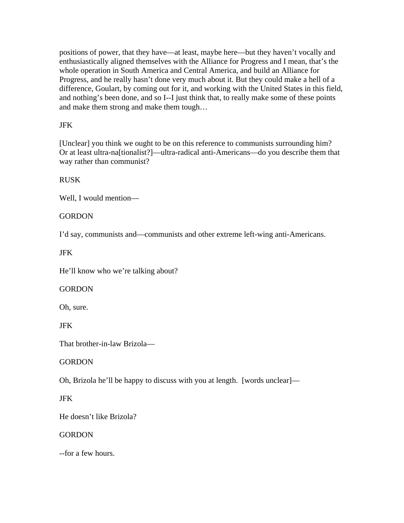positions of power, that they have—at least, maybe here—but they haven't vocally and enthusiastically aligned themselves with the Alliance for Progress and I mean, that's the whole operation in South America and Central America, and build an Alliance for Progress, and he really hasn't done very much about it. But they could make a hell of a difference, Goulart, by coming out for it, and working with the United States in this field, and nothing's been done, and so I--I just think that, to really make some of these points and make them strong and make them tough…

## JFK

[Unclear] you think we ought to be on this reference to communists surrounding him? Or at least ultra-na[tionalist?]—ultra-radical anti-Americans—do you describe them that way rather than communist?

## **RUSK**

Well, I would mention—

## **GORDON**

I'd say, communists and—communists and other extreme left-wing anti-Americans.

JFK

He'll know who we're talking about?

## **GORDON**

Oh, sure.

JFK

That brother-in-law Brizola—

## **GORDON**

Oh, Brizola he'll be happy to discuss with you at length. [words unclear]—

# JFK

He doesn't like Brizola?

## **GORDON**

--for a few hours.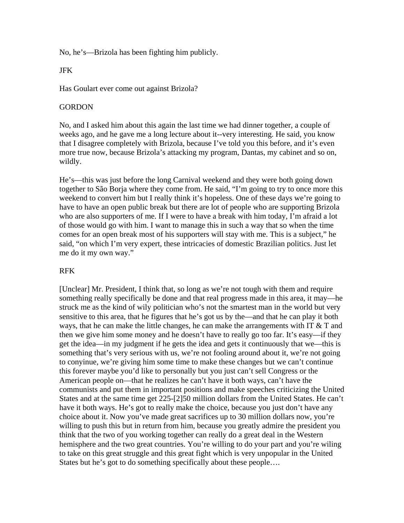No, he's—Brizola has been fighting him publicly.

#### JFK

Has Goulart ever come out against Brizola?

#### **GORDON**

No, and I asked him about this again the last time we had dinner together, a couple of weeks ago, and he gave me a long lecture about it--very interesting. He said, you know that I disagree completely with Brizola, because I've told you this before, and it's even more true now, because Brizola's attacking my program, Dantas, my cabinet and so on, wildly.

He's—this was just before the long Carnival weekend and they were both going down together to São Borja where they come from. He said, "I'm going to try to once more this weekend to convert him but I really think it's hopeless. One of these days we're going to have to have an open public break but there are lot of people who are supporting Brizola who are also supporters of me. If I were to have a break with him today, I'm afraid a lot of those would go with him. I want to manage this in such a way that so when the time comes for an open break most of his supporters will stay with me. This is a subject," he said, "on which I'm very expert, these intricacies of domestic Brazilian politics. Just let me do it my own way."

## RFK

[Unclear] Mr. President, I think that, so long as we're not tough with them and require something really specifically be done and that real progress made in this area, it may—he struck me as the kind of wily politician who's not the smartest man in the world but very sensitive to this area, that he figures that he's got us by the—and that he can play it both ways, that he can make the little changes, he can make the arrangements with IT  $&$  T and then we give him some money and he doesn't have to really go too far. It's easy—if they get the idea—in my judgment if he gets the idea and gets it continuously that we—this is something that's very serious with us, we're not fooling around about it, we're not going to conyinue, we're giving him some time to make these changes but we can't continue this forever maybe you'd like to personally but you just can't sell Congress or the American people on—that he realizes he can't have it both ways, can't have the communists and put them in important positions and make speeches criticizing the United States and at the same time get 225-[2]50 million dollars from the United States. He can't have it both ways. He's got to really make the choice, because you just don't have any choice about it. Now you've made great sacrifices up to 30 million dollars now, you're willing to push this but in return from him, because you greatly admire the president you think that the two of you working together can really do a great deal in the Western hemisphere and the two great countries. You're willing to do your part and you're wiling to take on this great struggle and this great fight which is very unpopular in the United States but he's got to do something specifically about these people….